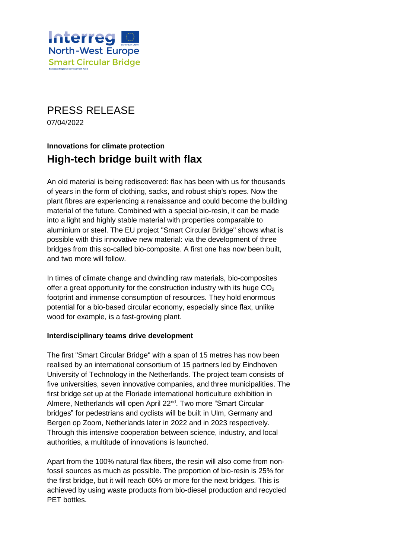

PRESS RELEASE 07/04/2022

# **Innovations for climate protection High-tech bridge built with flax**

An old material is being rediscovered: flax has been with us for thousands of years in the form of clothing, sacks, and robust ship's ropes. Now the plant fibres are experiencing a renaissance and could become the building material of the future. Combined with a special bio-resin, it can be made into a light and highly stable material with properties comparable to aluminium or steel. The EU project "Smart Circular Bridge" shows what is possible with this innovative new material: via the development of three bridges from this so-called bio-composite. A first one has now been built, and two more will follow.

In times of climate change and dwindling raw materials, bio-composites offer a great opportunity for the construction industry with its huge  $CO<sub>2</sub>$ footprint and immense consumption of resources. They hold enormous potential for a bio-based circular economy, especially since flax, unlike wood for example, is a fast-growing plant.

#### **Interdisciplinary teams drive development**

The first "Smart Circular Bridge" with a span of 15 metres has now been realised by an international consortium of 15 partners led by Eindhoven University of Technology in the Netherlands. The project team consists of five universities, seven innovative companies, and three municipalities. The first bridge set up at the Floriade international horticulture exhibition in Almere, Netherlands will open April 22<sup>nd</sup>, Two more "Smart Circular bridges" for pedestrians and cyclists will be built in Ulm, Germany and Bergen op Zoom, Netherlands later in 2022 and in 2023 respectively. Through this intensive cooperation between science, industry, and local authorities, a multitude of innovations is launched.

Apart from the 100% natural flax fibers, the resin will also come from nonfossil sources as much as possible. The proportion of bio-resin is 25% for the first bridge, but it will reach 60% or more for the next bridges. This is achieved by using waste products from bio-diesel production and recycled PET bottles.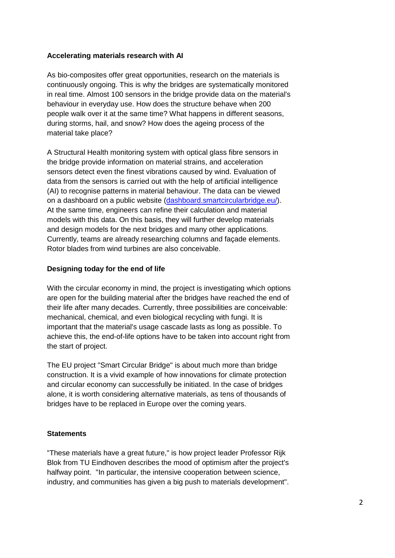#### **Accelerating materials research with AI**

As bio-composites offer great opportunities, research on the materials is continuously ongoing. This is why the bridges are systematically monitored in real time. Almost 100 sensors in the bridge provide data on the material's behaviour in everyday use. How does the structure behave when 200 people walk over it at the same time? What happens in different seasons, during storms, hail, and snow? How does the ageing process of the material take place?

A Structural Health monitoring system with optical glass fibre sensors in the bridge provide information on material strains, and acceleration sensors detect even the finest vibrations caused by wind. Evaluation of data from the sensors is carried out with the help of artificial intelligence (AI) to recognise patterns in material behaviour. The data can be viewed on a dashboard on a public website [\(dashboard.smartcircularbridge.eu/\)](https://dashboard.smartcircularbridge.eu/). At the same time, engineers can refine their calculation and material models with this data. On this basis, they will further develop materials and design models for the next bridges and many other applications. Currently, teams are already researching columns and façade elements. Rotor blades from wind turbines are also conceivable.

#### **Designing today for the end of life**

With the circular economy in mind, the project is investigating which options are open for the building material after the bridges have reached the end of their life after many decades. Currently, three possibilities are conceivable: mechanical, chemical, and even biological recycling with fungi. It is important that the material's usage cascade lasts as long as possible. To achieve this, the end-of-life options have to be taken into account right from the start of project.

The EU project "Smart Circular Bridge" is about much more than bridge construction. It is a vivid example of how innovations for climate protection and circular economy can successfully be initiated. In the case of bridges alone, it is worth considering alternative materials, as tens of thousands of bridges have to be replaced in Europe over the coming years.

#### **Statements**

"These materials have a great future," is how project leader Professor Rijk Blok from TU Eindhoven describes the mood of optimism after the project's halfway point. "In particular, the intensive cooperation between science, industry, and communities has given a big push to materials development".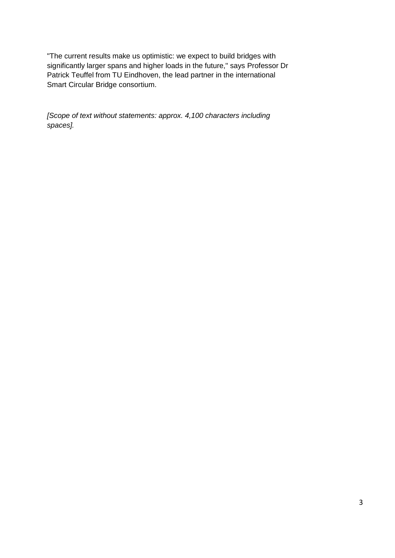"The current results make us optimistic: we expect to build bridges with significantly larger spans and higher loads in the future," says Professor Dr Patrick Teuffel from TU Eindhoven, the lead partner in the international Smart Circular Bridge consortium.

*[Scope of text without statements: approx. 4,100 characters including spaces].*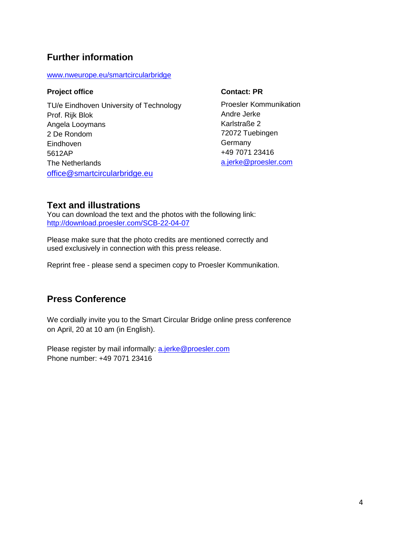### **Further information**

[www.nweurope.eu/smartcircularbridge](http://www.nweurope.eu/smartcircularbridge)

### **Project office**

TU/e Eindhoven University of Technology Prof. Rijk Blok Angela Looymans 2 De Rondom Eindhoven 5612AP The Netherlands [office@smartcircularbridge.eu](mailto:office@smartcircularbridge.eu)

### **Contact: PR**

Proesler Kommunikation Andre Jerke Karlstraße 2 72072 Tuebingen **Germany** +49 7071 23416 [a.jerke@proesler.com](mailto:a.jerke@proesler.com)

### **Text and illustrations**

You can download the text and the photos with the following link: <http://download.proesler.com/SCB-22-04-07>

Please make sure that the photo credits are mentioned correctly and used exclusively in connection with this press release.

Reprint free - please send a specimen copy to Proesler Kommunikation.

# **Press Conference**

We cordially invite you to the Smart Circular Bridge online press conference on April, 20 at 10 am (in English).

Please register by mail informally: [a.jerke@proesler.com](mailto:a.jerke@proesler.com) Phone number: +49 7071 23416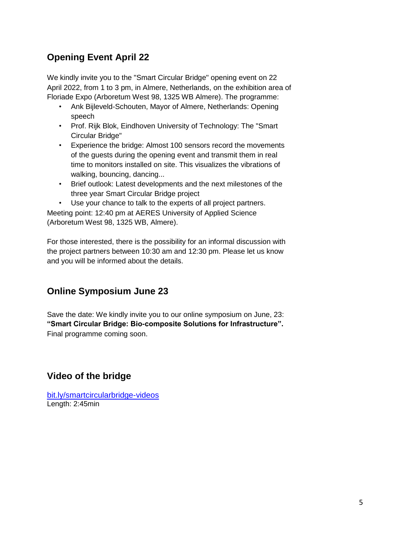# **Opening Event April 22**

We kindly invite you to the "Smart Circular Bridge" opening event on 22 April 2022, from 1 to 3 pm, in Almere, Netherlands, on the exhibition area of Floriade Expo (Arboretum West 98, 1325 WB Almere). The programme:

- Ank Bijleveld-Schouten, Mayor of Almere, Netherlands: Opening speech
- Prof. Rijk Blok, Eindhoven University of Technology: The "Smart Circular Bridge"
- Experience the bridge: Almost 100 sensors record the movements of the guests during the opening event and transmit them in real time to monitors installed on site. This visualizes the vibrations of walking, bouncing, dancing...
- Brief outlook: Latest developments and the next milestones of the three year Smart Circular Bridge project
- Use your chance to talk to the experts of all project partners.

Meeting point: 12:40 pm at AERES University of Applied Science (Arboretum West 98, 1325 WB, Almere).

For those interested, there is the possibility for an informal discussion with the project partners between 10:30 am and 12:30 pm. Please let us know and you will be informed about the details.

### **Online Symposium June 23**

Save the date: We kindly invite you to our online symposium on June, 23: **"Smart Circular Bridge: Bio-composite Solutions for Infrastructure".**  Final programme coming soon.

### **Video of the bridge**

[bit.ly/smartcircularbridge-videos](https://bit.ly/smartcircularbridge-videos) Length: 2:45min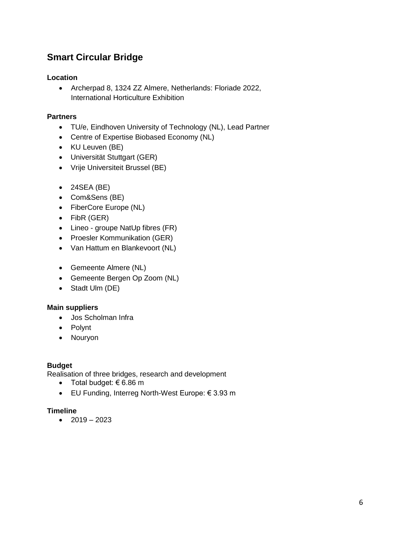# **Smart Circular Bridge**

### **Location**

 Archerpad 8, 1324 ZZ Almere, Netherlands: Floriade 2022, International Horticulture Exhibition

### **Partners**

- TU/e, Eindhoven University of Technology (NL), Lead Partner
- Centre of Expertise Biobased Economy (NL)
- KU Leuven (BE)
- Universität Stuttgart (GER)
- Vrije Universiteit Brussel (BE)
- $\bullet$  24SEA (BE)
- Com&Sens (BE)
- FiberCore Europe (NL)
- FibR (GER)
- Lineo groupe NatUp fibres (FR)
- Proesler Kommunikation (GER)
- Van Hattum en Blankevoort (NL)
- Gemeente Almere (NL)
- Gemeente Bergen Op Zoom (NL)
- Stadt Ulm (DE)

### **Main suppliers**

- Jos Scholman Infra
- Polynt
- Nourvon

### **Budget**

Realisation of three bridges, research and development

- $\bullet$  Total budget:  $\epsilon$  6.86 m
- EU Funding, Interreg North-West Europe: € 3.93 m

### **Timeline**

 $-2019 - 2023$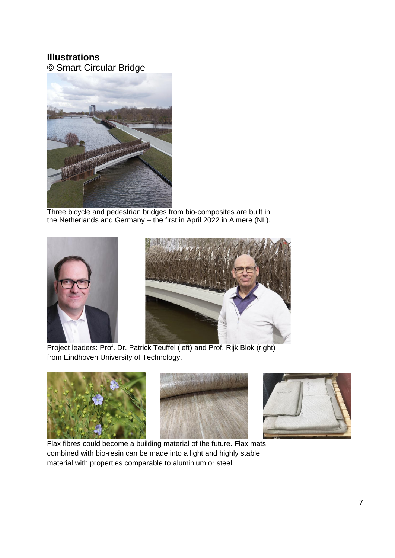## **Illustrations**

© Smart Circular Bridge



Three bicycle and pedestrian bridges from bio-composites are built in the Netherlands and Germany – the first in April 2022 in Almere (NL).



Project leaders: Prof. Dr. Patrick Teuffel (left) and Prof. Rijk Blok (right) from Eindhoven University of Technology.



Flax fibres could become a building material of the future. Flax mats combined with bio-resin can be made into a light and highly stable material with properties comparable to aluminium or steel.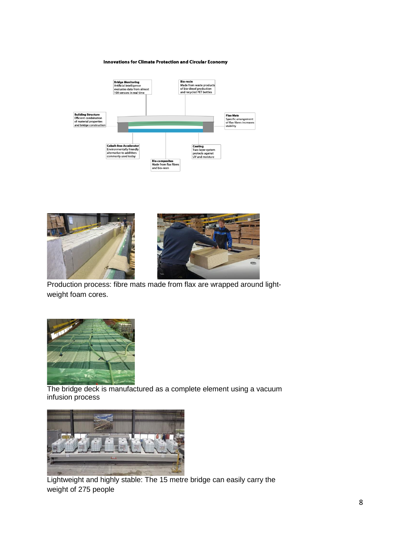#### **Innovations for Climate Protection and Circular Economy**







Production process: fibre mats made from flax are wrapped around lightweight foam cores.



The bridge deck is manufactured as a complete element using a vacuum infusion process



Lightweight and highly stable: The 15 metre bridge can easily carry the weight of 275 people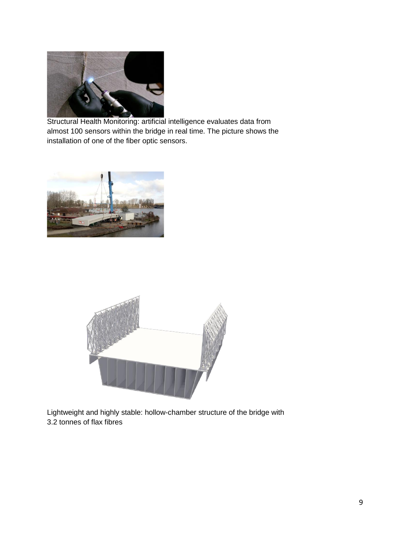

Structural Health Monitoring: artificial intelligence evaluates data from almost 100 sensors within the bridge in real time. The picture shows the installation of one of the fiber optic sensors.





Lightweight and highly stable: hollow-chamber structure of the bridge with 3.2 tonnes of flax fibres